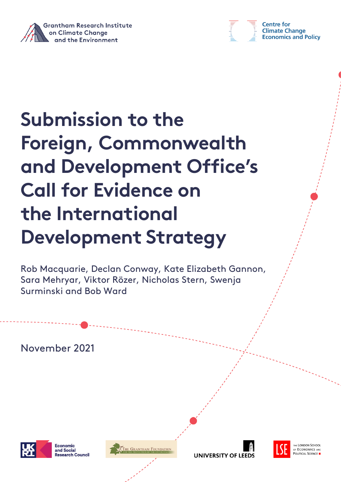



**Centre for Climate Change Economics and Policy** 

# **Submission to the Foreign, Commonwealth and Development Office's Call for Evidence on the International Development Strategy**

Rob Macquarie, Declan Conway, Kate Elizabeth Gannon, Sara Mehryar, Viktor Rözer, Nicholas Stern, Swenja Surminski and Bob Ward

November 2021



Economic and Social **Research Council** 







THE LONDON SCHOOL **ECONOMICS AND** OLITICAL SCIENCE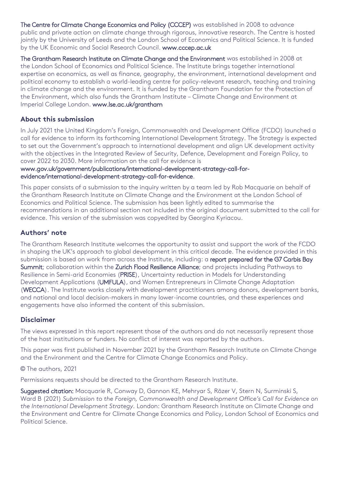The Centre for Climate Change Economics and Policy (CCCEP) was established in 2008 to advance public and private action on climate change through rigorous, innovative research. The Centre is hosted jointly by the University of Leeds and the London School of Economics and Political Science. It is funded by the UK Economic and Social Research Council. [www.cccep.ac.uk](http://www.cccep.ac.uk/)

The Grantham Research Institute on Climate Change and the Environment was established in 2008 at the London School of Economics and Political Science. The Institute brings together international expertise on economics, as well as finance, geography, the environment, international development and political economy to establish a world-leading centre for policy-relevant research, teaching and training in climate change and the environment. It is funded by the Grantham Foundation for the Protection of the Environment, which also funds the Grantham Institute – Climate Change and Environment at Imperial College London. [www.lse.ac.uk/grantham](http://www.lse.ac.uk/grantham)

## **About this submission**

In July 2021 the United Kingdom's Foreign, Commonwealth and Development Office (FCDO) launched a call for evidence to inform its forthcoming International Development Strategy. The Strategy is expected to set out the Government's approach to international development and align UK development activity with the objectives in the Integrated Review of Security, Defence, Development and Foreign Policy, to cover 2022 to 2030. More information on the call for evidence is

[www.gov.uk/government/publications/international-development-strategy-call-for](https://www.gov.uk/government/publications/international-development-strategy-call-for-evidence/international-development-strategy-call-for-evidence)[evidence/international-development-strategy-call-for-evidence.](https://www.gov.uk/government/publications/international-development-strategy-call-for-evidence/international-development-strategy-call-for-evidence) 

This paper consists of a submission to the inquiry written by a team led by Rob Macquarie on behalf of the Grantham Research Institute on Climate Change and the Environment at the London School of Economics and Political Science. The submission has been lightly edited to summarise the recommendations in an additional section not included in the original document submitted to the call for evidence. This version of the submission was copyedited by Georgina Kyriacou.

#### **Authors' note**

The Grantham Research Institute welcomes the opportunity to assist and support the work of the FCDO in shaping the UK's approach to global development in this critical decade. The evidence provided in this submission is based on work from across the Institute, including: a report prepared for the G7 Carbis Bay [Summit;](https://www.lse.ac.uk/granthaminstitute/publication/g7-leadership-for-sustainable-resilient-and-inclusive-economic-recovery-and-growth/) collaboration within the [Zurich Flood Resilience Alliance;](https://www.lse.ac.uk/granthaminstitute/zfra/) and projects including Pathways to Resilience in Semi-arid Economies [\(PRISE\),](https://www.lse.ac.uk/granthaminstitute/pathways-to-resilience-in-semi-arid-economies-prise/) Uncertainty reduction in Models for Understanding Development Applications [\(UMFULA\)](https://www.lse.ac.uk/granthaminstitute/umfula/), and Women Entrepreneurs in Climate Change Adaptation [\(WECCA\)](https://www.lse.ac.uk/granthaminstitute/women-entrepreneurs-in-climate-change-adaptation/). The Institute works closely with development practitioners among donors, development banks, and national and local decision-makers in many lower-income countries, and these experiences and engagements have also informed the content of this submission.

## **Disclaimer**

The views expressed in this report represent those of the authors and do not necessarily represent those of the host institutions or funders. No conflict of interest was reported by the authors.

This paper was first published in November 2021 by the Grantham Research Institute on Climate Change and the Environment and the Centre for Climate Change Economics and Policy.

#### © The authors, 2021

Permissions requests should be directed to the Grantham Research Institute.

Suggested citation: Macquarie R, Conway D, Gannon KE, Mehryar S, Rözer V, Stern N, Surminski S, Ward B (2021) *Submission to the Foreign, Commonwealth and Development Office's Call for Evidence on the International Development Strategy.* London: Grantham Research Institute on Climate Change and the Environment and Centre for Climate Change Economics and Policy, London School of Economics and Political Science.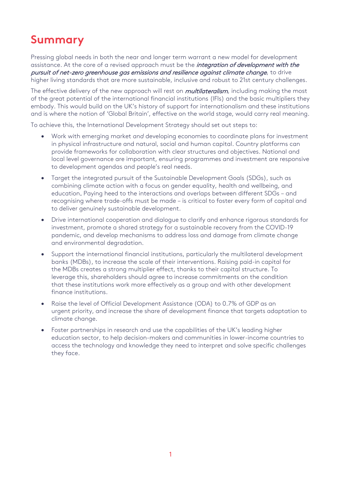# **Summary**

Pressing global needs in both the near and longer term warrant a new model for development assistance. At the core of a revised approach must be the *integration of development with the* pursuit of net-zero greenhouse gas emissions and resilience against climate change, to drive higher living standards that are more sustainable, inclusive and robust to 21st century challenges.

The effective delivery of the new approach will rest on *multilateralism*, including making the most of the great potential of the international financial institutions (IFIs) and the basic multipliers they embody. This would build on the UK's history of support for internationalism and these institutions and is where the notion of 'Global Britain', effective on the world stage, would carry real meaning.

To achieve this, the International Development Strategy should set out steps to:

- Work with emerging market *and* developing economies to coordinate plans for investment in physical infrastructure and natural, social and human capital. Country platforms can provide frameworks for collaboration with clear structures and objectives. National and local level governance are important, ensuring programmes and investment are responsive to development agendas and people's real needs.
- Target the integrated pursuit of the Sustainable Development Goals (SDGs), such as combining climate action with a focus on gender equality, health and wellbeing, and education. Paying heed to the interactions and overlaps between different SDGs – and recognising where trade-offs must be made – is critical to foster every form of capital and to deliver genuinely sustainable development.
- Drive international cooperation and dialogue to clarify and enhance rigorous standards for investment, promote a shared strategy for a sustainable recovery from the COVID-19 pandemic, and develop mechanisms to address loss and damage from climate change and environmental degradation.
- Support the international financial institutions, particularly the multilateral development banks (MDBs), to increase the scale of their interventions. Raising paid-in capital for the MDBs creates a strong multiplier effect, thanks to their capital structure. To leverage this, shareholders should agree to increase commitments on the condition that these institutions work more effectively as a group and with other development finance institutions.
- Raise the level of Official Development Assistance (ODA) to 0.7% of GDP as an urgent priority, and increase the share of development finance that targets adaptation to climate change.
- Foster partnerships in research and use the capabilities of the UK's leading higher education sector, to help decision-makers and communities in lower-income countries to access the technology and knowledge they need to interpret and solve specific challenges they face.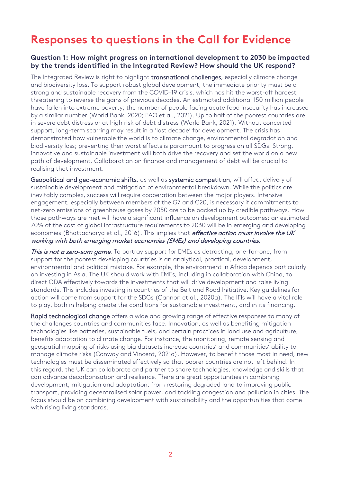# **Responses to questions in the Call for Evidence**

#### **Question 1: How might progress on international development to 2030 be impacted by the trends identified in the Integrated Review? How should the UK respond?**

The Integrated Review is right to highlight transnational challenges, especially climate change and biodiversity loss. To support robust global development, the immediate priority must be a strong and sustainable recovery from the COVID-19 crisis, which has hit the worst-off hardest, threatening to reverse the gains of previous decades. An estimated additional 150 million people have fallen into extreme poverty; the number of people facing acute food insecurity has increased by a similar number (World Bank, 2020; FAO et al., 2021). Up to half of the poorest countries are in severe debt distress or at high risk of debt distress (World Bank, 2021). Without concerted support, long-term scarring may result in a 'lost decade' for development. The crisis has demonstrated how vulnerable the world is to climate change, environmental degradation and biodiversity loss; preventing their worst effects is paramount to progress on all SDGs. Strong, innovative and sustainable investment will both drive the recovery and set the world on a new path of development. Collaboration on finance and management of debt will be crucial to realising that investment.

Geopolitical and geo-economic shifts, as well as systemic competition, will affect delivery of sustainable development and mitigation of environmental breakdown. While the politics are inevitably complex, success will require cooperation between the major players. Intensive engagement, especially between members of the G7 and G20, is necessary if commitments to net-zero emissions of greenhouse gases by 2050 are to be backed up by credible pathways. How those pathways are met will have a significant influence on development outcomes: an estimated 70% of the cost of global infrastructure requirements to 2030 will be in emerging and developing economies (Bhattacharya et al., 2016). This implies that *effective action must involve the UK* working with both emerging market economies (EMEs) and developing countries.

This is not a zero-sum game. To portray support for EMEs as detracting, one-for-one, from support for the poorest developing countries is an analytical, practical, development, environmental and political mistake. For example, the environment in Africa depends particularly on investing in Asia. The UK should work with EMEs, including in collaboration with China, to direct ODA effectively towards the investments that will drive development and raise living standards. This includes investing in countries of the Belt and Road Initiative. Key guidelines for action will come from support for the SDGs (Gannon et al., 2020a). The IFIs will have a vital role to play, both in helping create the conditions for sustainable investment, and in its financing.

Rapid technological change offers a wide and growing range of effective responses to many of the challenges countries and communities face. Innovation, as well as benefiting mitigation technologies like batteries, sustainable fuels, and certain practices in land use and agriculture, benefits adaptation to climate change. For instance, the monitoring, remote sensing and geospatial mapping of risks using big datasets increase countries' and communities' ability to manage climate risks (Conway and Vincent, 2021a). However, to benefit those most in need, new technologies must be disseminated effectively so that poorer countries are not left behind. In this regard, the UK can collaborate and partner to share technologies, knowledge and skills that can advance decarbonisation and resilience. There are great opportunities in combining development, mitigation and adaptation: from restoring degraded land to improving public transport, providing decentralised solar power, and tackling congestion and pollution in cities. The focus should be on combining development with sustainability and the opportunities that come with rising living standards.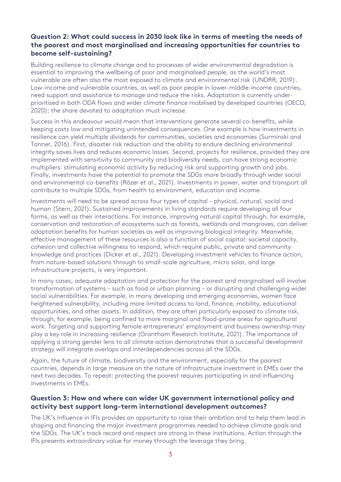## **Question 2: What could success in 2030 look like in terms of meeting the needs of the poorest and most marginalised and increasing opportunities for countries to become self-sustaining?**

Building resilience to climate change and to processes of wider environmental degradation is essential to improving the wellbeing of poor and marginalised people, as the world's most vulnerable are often also the most exposed to climate and environmental risk (UNDRR, 2019). Low-income and vulnerable countries, as well as poor people in lower-middle-income countries, need support and assistance to manage and reduce the risks. Adaptation is currently underprioritised in both ODA flows and wider climate finance mobilised by developed countries (OECD, 2020); the share devoted to adaptation must increase.

Success in this endeavour would mean that interventions generate several co-benefits, while keeping costs low and mitigating unintended consequences. One example is how investments in resilience can yield multiple dividends for communities, societies and economies (Surminski and Tanner, 2016). First, disaster risk reduction and the ability to endure declining environmental integrity saves lives and reduces economic losses. Second, projects for resilience, provided they are implemented with sensitivity to community and biodiversity needs, can have strong economic multipliers: stimulating economic activity by reducing risk and supporting growth and jobs. Finally, investments have the potential to promote the SDGs more broadly through wider social and environmental co-benefits (Rözer et al., 2021). Investments in power, water and transport all contribute to multiple SDGs, from health to environment, education and income.

Investments will need to be spread across four types of capital – physical, natural, social and human (Stern, 2021). Sustained improvements in living standards require developing all four forms, as well as their interactions. For instance, improving natural capital through, for example, conservation and restoration of ecosystems such as forests, wetlands and mangroves, can deliver adaptation benefits for human societies as well as improving biological integrity. Meanwhile, effective management of these resources is also a function of social capital: societal capacity, cohesion and collective willingness to respond, which require public, private and community knowledge and practices (Dicker et al., 2021). Developing investment vehicles to finance action, from nature-based solutions through to small-scale agriculture, micro solar, and large infrastructure projects, is very important.

In many cases, adequate adaptation and protection for the poorest and marginalised will involve transformation of systems – such as food or urban planning – or disrupting and challenging wider social vulnerabilities. For example, in many developing and emerging economies, women face heightened vulnerability, including more limited access to land, finance, mobility, educational opportunities, and other assets. In addition, they are often particularly exposed to climate risk, through, for example, being confined to more marginal and flood-prone areas for agricultural work. Targeting and supporting female entrepreneurs' employment and business ownership may play a key role in increasing resilience (Grantham Research Institute, 2021). The importance of applying a strong gender lens to all climate action demonstrates that a successful development strategy will integrate overlaps and interdependencies across all the SDGs.

Again, the future of climate, biodiversity and the environment, especially for the poorest countries, depends in large measure on the nature of infrastructure investment in EMEs over the next two decades. To repeat: protecting the poorest requires participating in and influencing investments in EMEs.

#### **Question 3: How and where can wider UK government international policy and activity best support long-term international development outcomes?**

The UK's influence in IFIs provides an opportunity to raise their ambition and to help them lead in shaping and financing the major investment programmes needed to achieve climate goals and the SDGs. The UK's track record and respect are strong in these institutions. Action through the IFIs presents extraordinary value for money through the leverage they bring.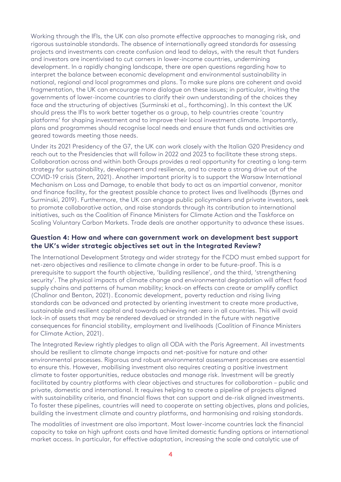Working through the IFIs, the UK can also promote effective approaches to managing risk, and rigorous sustainable standards. The absence of internationally agreed standards for assessing projects and investments can create confusion and lead to delays, with the result that funders and investors are incentivised to cut corners in lower-income countries, undermining development. In a rapidly changing landscape, there are open questions regarding how to interpret the balance between economic development and environmental sustainability in national, regional and local programmes and plans. To make sure plans are coherent and avoid fragmentation, the UK can encourage more dialogue on these issues; in particular, inviting the governments of lower-income countries to clarify their own understanding of the choices they face and the structuring of objectives (Surminski et al., forthcoming). In this context the UK should press the IFIs to work better together as a group, to help countries create 'country platforms' for shaping investment and to improve their local investment climate. Importantly, plans and programmes should recognise local needs and ensure that funds and activities are geared towards meeting those needs.

Under its 2021 Presidency of the G7, the UK can work closely with the Italian G20 Presidency and reach out to the Presidencies that will follow in 2022 and 2023 to facilitate these strong steps. Collaboration across and within both Groups provides a real opportunity for creating a long-term strategy for sustainability, development and resilience, and to create a strong drive out of the COVID-19 crisis (Stern, 2021). Another important priority is to support the Warsaw International Mechanism on Loss and Damage, to enable that body to act as an impartial convenor, monitor and finance facility, for the greatest possible chance to protect lives and livelihoods (Byrnes and Surminski, 2019). Furthermore, the UK can engage public policymakers and private investors, seek to promote collaborative action, and raise standards through its contribution to international initiatives, such as the Coalition of Finance Ministers for Climate Action and the Taskforce on Scaling Voluntary Carbon Markets. Trade deals are another opportunity to advance these issues.

#### **Question 4: How and where can government work on development best support the UK's wider strategic objectives set out in the Integrated Review?**

The International Development Strategy and wider strategy for the FCDO must embed support for net-zero objectives and resilience to climate change in order to be future-proof. This is a prerequisite to support the fourth objective, 'building resilience', and the third, 'strengthening security'. The physical impacts of climate change and environmental degradation will affect food supply chains and patterns of human mobility; knock-on effects can create or amplify conflict (Chalinor and Benton, 2021). Economic development, poverty reduction and rising living standards can be advanced and protected by orienting investment to create more productive, sustainable and resilient capital and towards achieving net-zero in all countries. This will avoid lock-in of assets that may be rendered devalued or stranded in the future with negative consequences for financial stability, employment and livelihoods (Coalition of Finance Ministers for Climate Action, 2021).

The Integrated Review rightly pledges to align all ODA with the Paris Agreement. All investments should be resilient to climate change impacts and net-positive for nature and other environmental processes. Rigorous and robust environmental assessment processes are essential to ensure this. However, mobilising investment also requires creating a positive investment climate to foster opportunities, reduce obstacles and manage risk. Investment will be greatly facilitated by country platforms with clear objectives and structures for collaboration – public and private, domestic and international. It requires helping to create a pipeline of projects aligned with sustainability criteria, and financial flows that can support and de-risk aligned investments. To foster these pipelines, countries will need to cooperate on setting objectives, plans and policies, building the investment climate and country platforms, and harmonising and raising standards.

The modalities of investment are also important. Most lower-income countries lack the financial capacity to take on high upfront costs and have limited domestic funding options or international market access. In particular, for effective adaptation, increasing the scale and catalytic use of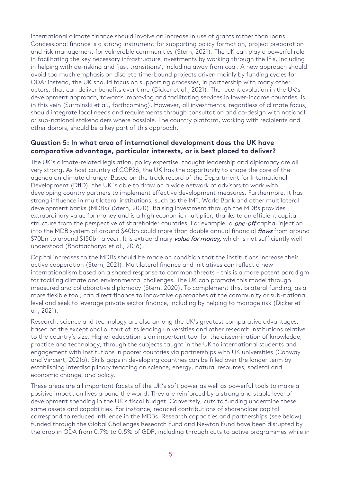international climate finance should involve an increase in use of grants rather than loans. Concessional finance is a strong instrument for supporting policy formation, project preparation and risk management for vulnerable communities (Stern, 2021). The UK can play a powerful role in facilitating the key necessary infrastructure investments by working through the IFIs, including in helping with de-risking and 'just transitions', including away from coal. A new approach should avoid too much emphasis on discrete time-bound projects driven mainly by funding cycles for ODA; instead, the UK should focus on supporting *processes*, in partnership with many other actors, that can deliver benefits over time (Dicker et al., 2021). The recent evolution in the UK's development approach, towards improving and facilitating services in lower-income countries, is in this vein (Surminski et al., forthcoming). However, all investments, regardless of climate focus, should integrate local needs and requirements through consultation and co-design with national or sub-national stakeholders where possible. The country platform, working with recipients and other donors, should be a key part of this approach.

#### **Question 5: In what area of international development does the UK have comparative advantage, particular interests, or is best placed to deliver?**

The UK's climate-related legislation, policy expertise, thought leadership and diplomacy are all very strong. As host country of COP26, the UK has the opportunity to shape the core of the agenda on climate change. Based on the track record of the Department for International Development (DfID), the UK is able to draw on a wide network of advisors to work with developing country partners to implement effective development measures. Furthermore, it has strong influence in multilateral institutions, such as the IMF, World Bank and other multilateral development banks (MDBs) (Stern, 2020). Raising investment through the MDBs provides extraordinary value for money and is a high economic multiplier, thanks to an efficient capital structure from the perspective of shareholder countries. For example, a *one-off* capital injection into the MDB system of around \$40bn could more than double annual financial flows from around \$70bn to around \$150bn a year. It is extraordinary value for money, which is not sufficiently well understood (Bhattacharya et al., 2016).

Capital increases to the MDBs should be made on condition that the institutions increase their active cooperation (Stern, 2021). Multilateral finance and initiatives can reflect a new internationalism based on a shared response to common threats – this is a more potent paradigm for tackling climate and environmental challenges. The UK can promote this model through measured and collaborative diplomacy (Stern, 2020). To complement this, bilateral funding, as a more flexible tool, can direct finance to innovative approaches at the community or sub-national level and seek to leverage private sector finance, including by helping to manage risk (Dicker et al., 2021).

Research, science and technology are also among the UK's greatest comparative advantages, based on the exceptional output of its leading universities and other research institutions relative to the country's size. Higher education is an important tool for the dissemination of knowledge, practice and technology, through the subjects taught in the UK to international students and engagement with institutions in poorer countries via partnerships with UK universities (Conway and Vincent, 2021b). Skills gaps in developing countries can be filled over the longer term by establishing interdisciplinary teaching on science, energy, natural resources, societal and economic change, and policy.

These areas are all important facets of the UK's soft power as well as powerful tools to make a positive impact on lives around the world. They are reinforced by a strong and stable level of development spending in the UK's fiscal budget. Conversely, cuts to funding undermine these same assets and capabilities. For instance, reduced contributions of shareholder capital correspond to reduced influence in the MDBs. Research capacities and partnerships (see below) funded through the Global Challenges Research Fund and Newton Fund have been disrupted by the drop in ODA from 0.7% to 0.5% of GDP, including through cuts to active programmes while in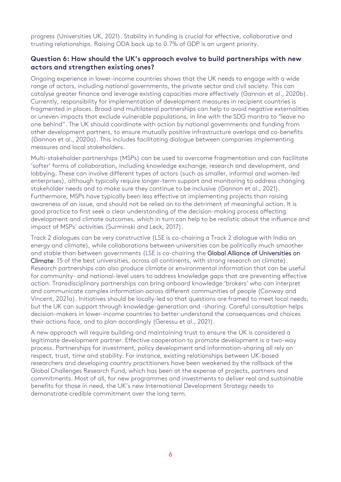progress (Universities UK, 2021). Stability in funding is crucial for effective, collaborative and trusting relationships. Raising ODA back up to 0.7% of GDP is an urgent priority.

#### **Question 6: How should the UK's approach evolve to build partnerships with new actors and strengthen existing ones?**

Ongoing experience in lower-income countries shows that the UK needs to engage with a wide range of actors, including national governments, the private sector and civil society. This can catalyse greater finance and leverage existing capacities more effectively (Gannon et al., 2020b). Currently, responsibility for implementation of development measures in recipient countries is fragmented in places. Broad and multilateral partnerships can help to avoid negative externalities or uneven impacts that exclude vulnerable populations, in line with the SDG mantra to "leave no one behind". The UK should coordinate with action by national governments and funding from other development partners, to ensure mutually positive infrastructure overlaps and co-benefits (Gannon et al., 2020a). This includes facilitating dialogue between companies implementing measures and local stakeholders.

Multi-stakeholder partnerships (MSPs) can be used to overcome fragmentation and can facilitate 'softer' forms of collaboration, including knowledge exchange, research and development, and lobbying. These can involve different types of actors (such as smaller, informal and women-led enterprises), although typically require longer-term support and monitoring to address changing stakeholder needs and to make sure they continue to be inclusive (Gannon et al., 2021). Furthermore, MSPs have typically been less effective at implementing projects than raising awareness of an issue, and should not be relied on to the detriment of meaningful action. It is good practice to first seek a clear understanding of the decision-making process affecting development and climate outcomes, which in turn can help to be realistic about the influence and impact of MSPs' activities (Surminski and Leck, 2017).

Track 2 dialogues can be very constructive (LSE is co-chairing a Track 2 dialogue with India on energy and climate), while collaborations between universities can be politically much smoother and stable than between governments (LSE is co-chairing the [Global Alliance of Universities on](https://www.lse.ac.uk/granthaminstitute/gauc/)  [Climate:](https://www.lse.ac.uk/granthaminstitute/gauc/) 15 of the best universities, across all continents, with strong research on climate). Research partnerships can also produce climate or environmental information that can be useful for community- and national-level users to address knowledge gaps that are preventing effective action. Transdisciplinary partnerships can bring onboard knowledge 'brokers' who can interpret and communicate complex information across different communities of people (Conway and Vincent, 2021a). Initiatives should be locally-led so that questions are framed to meet local needs, but the UK can support through knowledge-generation and -sharing. Careful consultation helps decision-makers in lower-income countries to better understand the consequences and choices their actions face, and to plan accordingly (Geressu et al., 2021).

A new approach will require building and maintaining trust to ensure the UK is considered a legitimate development partner. Effective cooperation to promote development is a two-way process. Partnerships for investment, policy development and information-sharing all rely on respect, trust, time and stability. For instance, existing relationships between UK-based researchers and developing country practitioners have been weakened by the rollback of the Global Challenges Research Fund, which has been at the expense of projects, partners and commitments. Most of all, for new programmes and investments to deliver real and sustainable benefits for those in need, the UK's new International Development Strategy needs to demonstrate credible commitment over the long term.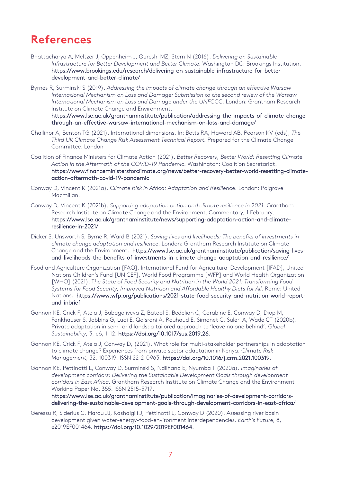# **References**

- Bhattacharya A, Meltzer J, Oppenheim J, Qureshi MZ, Stern N (2016). *Delivering on Sustainable Infrastructure for Better Development and Better Climate.* Washington DC: Brookings Institution. [https://www.brookings.edu/research/delivering-on-sustainable-infrastructure-for-better](https://www.brookings.edu/research/delivering-on-sustainable-infrastructure-for-better-development-and-better-climate/)[development-and-better-climate/](https://www.brookings.edu/research/delivering-on-sustainable-infrastructure-for-better-development-and-better-climate/)
- Byrnes R, Surminski S (2019). *Addressing the impacts of climate change through an effective Warsaw International Mechanism on Loss and Damage: Submission to the second review of the Warsaw International Mechanism on Loss and Damage under the UNFCCC.* London: Grantham Research Institute on Climate Change and Environment.

[https://www.lse.ac.uk/granthaminstitute/publication/addressing-the-impacts-of-climate-change](https://www.lse.ac.uk/granthaminstitute/publication/addressing-the-impacts-of-climate-change-through-an-effective-warsaw-international-mechanism-on-loss-and-damage/)[through-an-effective-warsaw-international-mechanism-on-loss-and-damage/](https://www.lse.ac.uk/granthaminstitute/publication/addressing-the-impacts-of-climate-change-through-an-effective-warsaw-international-mechanism-on-loss-and-damage/)

- Challinor A, Benton TG (2021). International dimensions. In: Betts RA, Haward AB, Pearson KV (eds), *The Third UK Climate Change Risk Assessment Technical Report.* Prepared for the Climate Change Committee. London
- Coalition of Finance Ministers for Climate Action (2021). *Better Recovery, Better World: Resetting Climate Action in the Aftermath of the COVID-19 Pandemic.* Washington: Coalition Secretariat. [https://www.financeministersforclimate.org/news/better-recovery-better-world-resetting-climate](https://www.financeministersforclimate.org/news/better-recovery-better-world-resetting-climate-action-aftermath-covid-19-pandemic)[action-aftermath-covid-19-pandemic](https://www.financeministersforclimate.org/news/better-recovery-better-world-resetting-climate-action-aftermath-covid-19-pandemic)
- Conway D, Vincent K (2021a). *Climate Risk in Africa: Adaptation and Resilience.* London: Palgrave Macmillan.
- Conway D, Vincent K (2021b). *Supporting adaptation action and climate resilience in 2021.* Grantham Research Institute on Climate Change and the Environment. Commentary, 1 February. [https://www.lse.ac.uk/granthaminstitute/news/supporting-adaptation-action-and-climate](https://www.lse.ac.uk/granthaminstitute/news/supporting-adaptation-action-and-climate-resilience-in-2021/)[resilience-in-2021/](https://www.lse.ac.uk/granthaminstitute/news/supporting-adaptation-action-and-climate-resilience-in-2021/)
- Dicker S, Unsworth S, Byrne R, Ward B (2021). *Saving lives and livelihoods: The benefits of investments in climate change adaptation and resilience.* London: Grantham Research Institute on Climate Change and the Environment. [https://www.lse.ac.uk/granthaminstitute/publication/saving-lives](https://www.lse.ac.uk/granthaminstitute/publication/saving-lives-and-livelihoods-the-benefits-of-investments-in-climate-change-adaptation-and-resilience/)[and-livelihoods-the-benefits-of-investments-in-climate-change-adaptation-and-resilience/](https://www.lse.ac.uk/granthaminstitute/publication/saving-lives-and-livelihoods-the-benefits-of-investments-in-climate-change-adaptation-and-resilience/)
- Food and Agriculture Organization [FAO], International Fund for Agricultural Development [IFAD], United Nations Children's Fund [UNICEF], World Food Programme [WFP] and World Health Organization [WHO] (2021). T*he State of Food Security and Nutrition in the World 2021: Transforming Food Systems for Food Security, Improved Nutrition and Affordable Healthy Diets for All.* Rome: United Nations. [https://www.wfp.org/publications/2021-state-food-security-and-nutrition-world-report](https://www.wfp.org/publications/2021-state-food-security-and-nutrition-world-report-and-inbrief)[and-inbrief](https://www.wfp.org/publications/2021-state-food-security-and-nutrition-world-report-and-inbrief)
- Gannon KE, Crick F, Atela J, Babagaliyeva Z, Batool S, Bedelian C, Carabine E, Conway D, Diop M, Fankhauser S, Jobbins G, Ludi E, Qaisrani A, Rouhaud E, Simonet C, Suleri A, Wade CT (2020b). Private adaptation in semi-arid lands: a tailored approach to 'leave no one behind'. *Global Sustainability*, 3, e6, 1–12. [https://doi.org/10.1017/sus.2019.26.](https://doi.org/10.1017/sus.2019.26)
- Gannon KE, Crick F, Atela J, Conway D, (2021). What role for multi-stakeholder partnerships in adaptation to climate change? Experiences from private sector adaptation in Kenya. *Climate Risk Management*, 32, 100319, ISSN 2212-0963, [https://doi.org/10.1016/j.crm.2021.100319.](https://doi.org/10.1016/j.crm.2021.100319)
- Gannon KE, Pettinotti L, Conway D, Surminski S, Ndilhana E, Nyumba T (2020a). *Imaginaries of development corridors: Delivering the Sustainable Development Goals through development corridors in East Africa.* Grantham Research Institute on Climate Change and the Environment Working Paper No. 355. ISSN 2515-5717.

[https://www.lse.ac.uk/granthaminstitute/publication/imaginaries-of-development-corridors](https://www.lse.ac.uk/granthaminstitute/publication/imaginaries-of-development-corridors-delivering-the-sustainable-development-goals-through-development-corridors-in-east-africa/)[delivering-the-sustainable-development-goals-through-development-corridors-in-east-africa/](https://www.lse.ac.uk/granthaminstitute/publication/imaginaries-of-development-corridors-delivering-the-sustainable-development-goals-through-development-corridors-in-east-africa/)

Geressu R, Siderius C, Harou JJ, Kashaigili J, Pettinotti L, Conway D (2020). Assessing river basin development given water-energy-food-environment interdependencies. *Earth's Future*, 8, e2019EF001464. [https://doi.org/10.1029/2019EF001464.](https://doi.org/10.1029/2019EF001464)